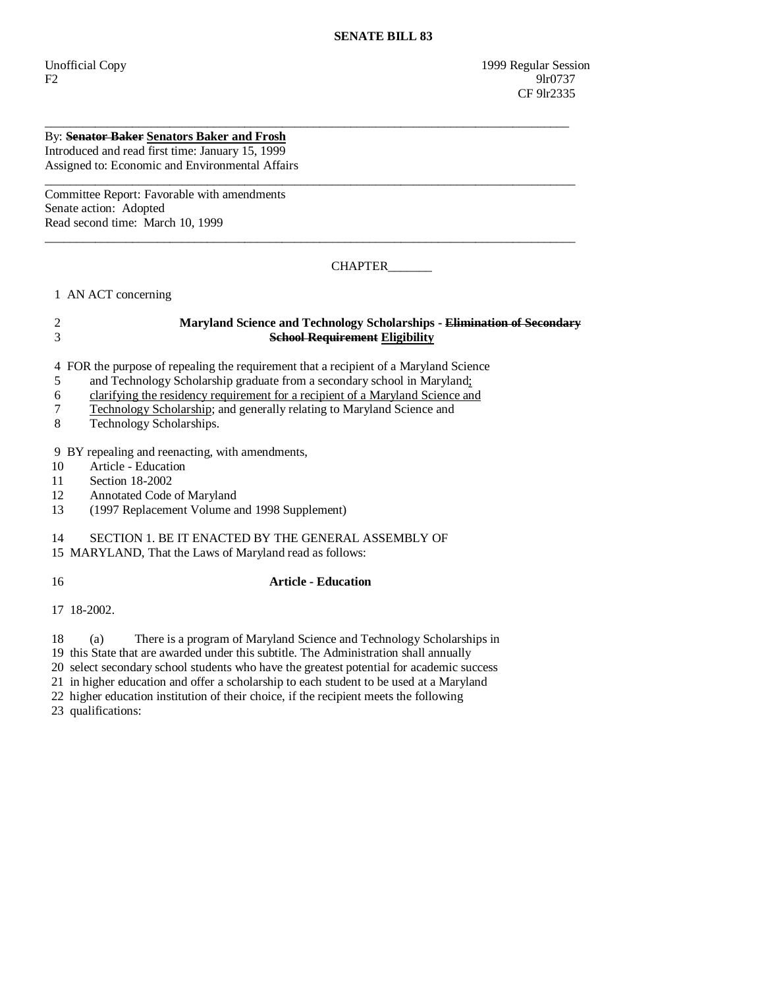## By: **Senator Baker Senators Baker and Frosh** Introduced and read first time: January 15, 1999 Assigned to: Economic and Environmental Affairs

Committee Report: Favorable with amendments Senate action: Adopted Read second time: March 10, 1999

CHAPTER\_\_\_\_\_\_\_

1 AN ACT concerning

# 2 **Maryland Science and Technology Scholarships - Elimination of Secondary** 3 **School Requirement Eligibility**

\_\_\_\_\_\_\_\_\_\_\_\_\_\_\_\_\_\_\_\_\_\_\_\_\_\_\_\_\_\_\_\_\_\_\_\_\_\_\_\_\_\_\_\_\_\_\_\_\_\_\_\_\_\_\_\_\_\_\_\_\_\_\_\_\_\_\_\_\_\_\_\_\_\_\_\_\_\_\_\_\_\_\_\_

\_\_\_\_\_\_\_\_\_\_\_\_\_\_\_\_\_\_\_\_\_\_\_\_\_\_\_\_\_\_\_\_\_\_\_\_\_\_\_\_\_\_\_\_\_\_\_\_\_\_\_\_\_\_\_\_\_\_\_\_\_\_\_\_\_\_\_\_\_\_\_\_\_\_\_\_\_\_\_\_\_\_\_\_\_

\_\_\_\_\_\_\_\_\_\_\_\_\_\_\_\_\_\_\_\_\_\_\_\_\_\_\_\_\_\_\_\_\_\_\_\_\_\_\_\_\_\_\_\_\_\_\_\_\_\_\_\_\_\_\_\_\_\_\_\_\_\_\_\_\_\_\_\_\_\_\_\_\_\_\_\_\_\_\_\_\_\_\_\_\_

4 FOR the purpose of repealing the requirement that a recipient of a Maryland Science

5 and Technology Scholarship graduate from a secondary school in Maryland;

6 clarifying the residency requirement for a recipient of a Maryland Science and

- 7 Technology Scholarship; and generally relating to Maryland Science and
- 8 Technology Scholarships.

9 BY repealing and reenacting, with amendments,

- 10 Article Education
- 11 Section 18-2002
- 12 Annotated Code of Maryland
- 13 (1997 Replacement Volume and 1998 Supplement)

## 14 SECTION 1. BE IT ENACTED BY THE GENERAL ASSEMBLY OF

15 MARYLAND, That the Laws of Maryland read as follows:

16 **Article - Education** 

17 18-2002.

18 (a) There is a program of Maryland Science and Technology Scholarships in

19 this State that are awarded under this subtitle. The Administration shall annually

20 select secondary school students who have the greatest potential for academic success

21 in higher education and offer a scholarship to each student to be used at a Maryland

22 higher education institution of their choice, if the recipient meets the following

23 qualifications: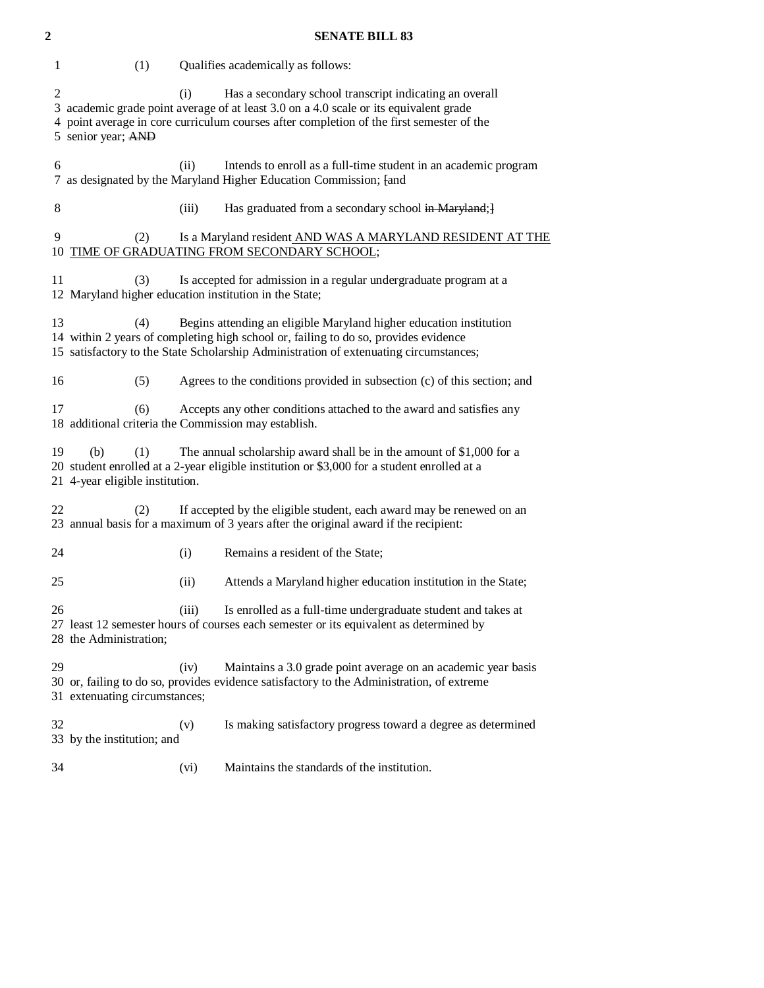| $\mathbf 2$ | <b>SENATE BILL 83</b>                                                                                                                                                                                                                                                   |
|-------------|-------------------------------------------------------------------------------------------------------------------------------------------------------------------------------------------------------------------------------------------------------------------------|
| 1           | (1)<br>Qualifies academically as follows:                                                                                                                                                                                                                               |
| 2<br>4      | Has a secondary school transcript indicating an overall<br>(i)<br>3 academic grade point average of at least 3.0 on a 4.0 scale or its equivalent grade<br>point average in core curriculum courses after completion of the first semester of the<br>5 senior year; AND |
| 6           | (ii)<br>Intends to enroll as a full-time student in an academic program<br>7 as designated by the Maryland Higher Education Commission; [and                                                                                                                            |
| $\,8\,$     | Has graduated from a secondary school in Maryland; }<br>(iii)                                                                                                                                                                                                           |
| 9           | Is a Maryland resident AND WAS A MARYLAND RESIDENT AT THE<br>(2)<br>10 TIME OF GRADUATING FROM SECONDARY SCHOOL;                                                                                                                                                        |
| 11          | Is accepted for admission in a regular undergraduate program at a<br>(3)<br>12 Maryland higher education institution in the State;                                                                                                                                      |
| 13          | (4)<br>Begins attending an eligible Maryland higher education institution<br>14 within 2 years of completing high school or, failing to do so, provides evidence<br>15 satisfactory to the State Scholarship Administration of extenuating circumstances;               |
| 16          | Agrees to the conditions provided in subsection (c) of this section; and<br>(5)                                                                                                                                                                                         |
| 17          | Accepts any other conditions attached to the award and satisfies any<br>(6)<br>18 additional criteria the Commission may establish.                                                                                                                                     |
| 19          | (b)<br>(1)<br>The annual scholarship award shall be in the amount of \$1,000 for a<br>20 student enrolled at a 2-year eligible institution or \$3,000 for a student enrolled at a<br>21 4-year eligible institution.                                                    |
| 22          | If accepted by the eligible student, each award may be renewed on an<br>(2)<br>23 annual basis for a maximum of 3 years after the original award if the recipient:                                                                                                      |
| 24          | (i)<br>Remains a resident of the State;                                                                                                                                                                                                                                 |
| 25          | (ii)<br>Attends a Maryland higher education institution in the State;                                                                                                                                                                                                   |
| 26          | Is enrolled as a full-time undergraduate student and takes at<br>(iii)<br>27 least 12 semester hours of courses each semester or its equivalent as determined by<br>28 the Administration;                                                                              |
| 29          | Maintains a 3.0 grade point average on an academic year basis<br>(iv)<br>30 or, failing to do so, provides evidence satisfactory to the Administration, of extreme<br>31 extenuating circumstances;                                                                     |
| 32          | Is making satisfactory progress toward a degree as determined<br>(v)<br>33 by the institution; and                                                                                                                                                                      |
| 34          | Maintains the standards of the institution.<br>(vi)                                                                                                                                                                                                                     |